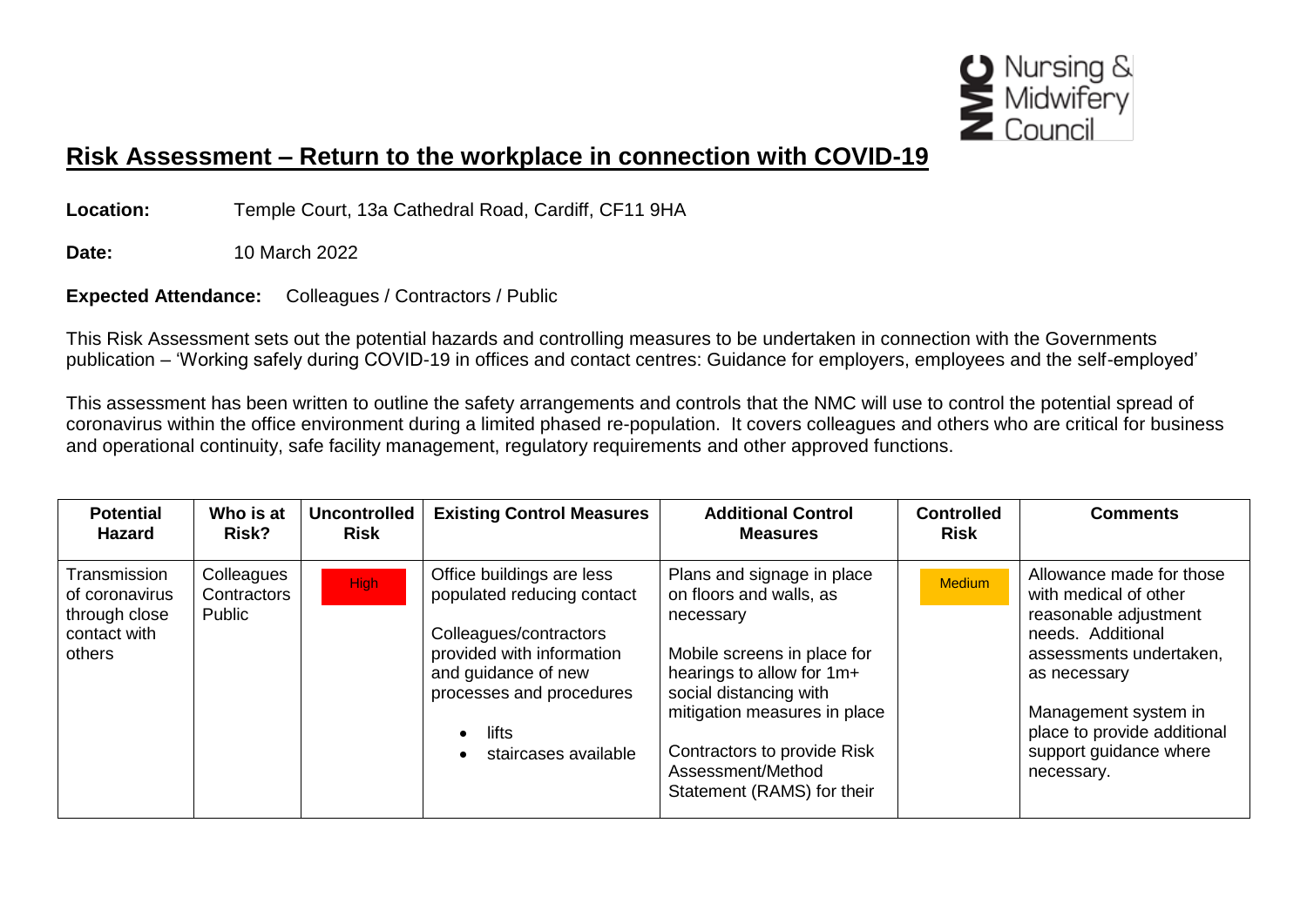

## **Risk Assessment – Return to the workplace in connection with COVID-19**

**Location:** Temple Court, 13a Cathedral Road, Cardiff, CF11 9HA

**Date:** 10 March 2022

**Expected Attendance:** Colleagues / Contractors / Public

This Risk Assessment sets out the potential hazards and controlling measures to be undertaken in connection with the Governments publication – 'Working safely during COVID-19 in offices and contact centres: Guidance for employers, employees and the self-employed'

This assessment has been written to outline the safety arrangements and controls that the NMC will use to control the potential spread of coronavirus within the office environment during a limited phased re-population. It covers colleagues and others who are critical for business and operational continuity, safe facility management, regulatory requirements and other approved functions.

| <b>Potential</b><br><b>Hazard</b>                                         | Who is at<br>Risk?                  | <b>Uncontrolled</b><br><b>Risk</b> | <b>Existing Control Measures</b>                                                                                                                                                                   | <b>Additional Control</b><br><b>Measures</b>                                                                                                                                                                                                                               | <b>Controlled</b><br><b>Risk</b> | <b>Comments</b>                                                                                                                                                                                                                           |
|---------------------------------------------------------------------------|-------------------------------------|------------------------------------|----------------------------------------------------------------------------------------------------------------------------------------------------------------------------------------------------|----------------------------------------------------------------------------------------------------------------------------------------------------------------------------------------------------------------------------------------------------------------------------|----------------------------------|-------------------------------------------------------------------------------------------------------------------------------------------------------------------------------------------------------------------------------------------|
| Transmission<br>of coronavirus<br>through close<br>contact with<br>others | Colleagues<br>Contractors<br>Public | <b>High</b>                        | Office buildings are less<br>populated reducing contact<br>Colleagues/contractors<br>provided with information<br>and guidance of new<br>processes and procedures<br>lifts<br>staircases available | Plans and signage in place<br>on floors and walls, as<br>necessary<br>Mobile screens in place for<br>hearings to allow for 1m+<br>social distancing with<br>mitigation measures in place<br>Contractors to provide Risk<br>Assessment/Method<br>Statement (RAMS) for their | <b>Medium</b>                    | Allowance made for those<br>with medical of other<br>reasonable adjustment<br>needs. Additional<br>assessments undertaken,<br>as necessary<br>Management system in<br>place to provide additional<br>support guidance where<br>necessary. |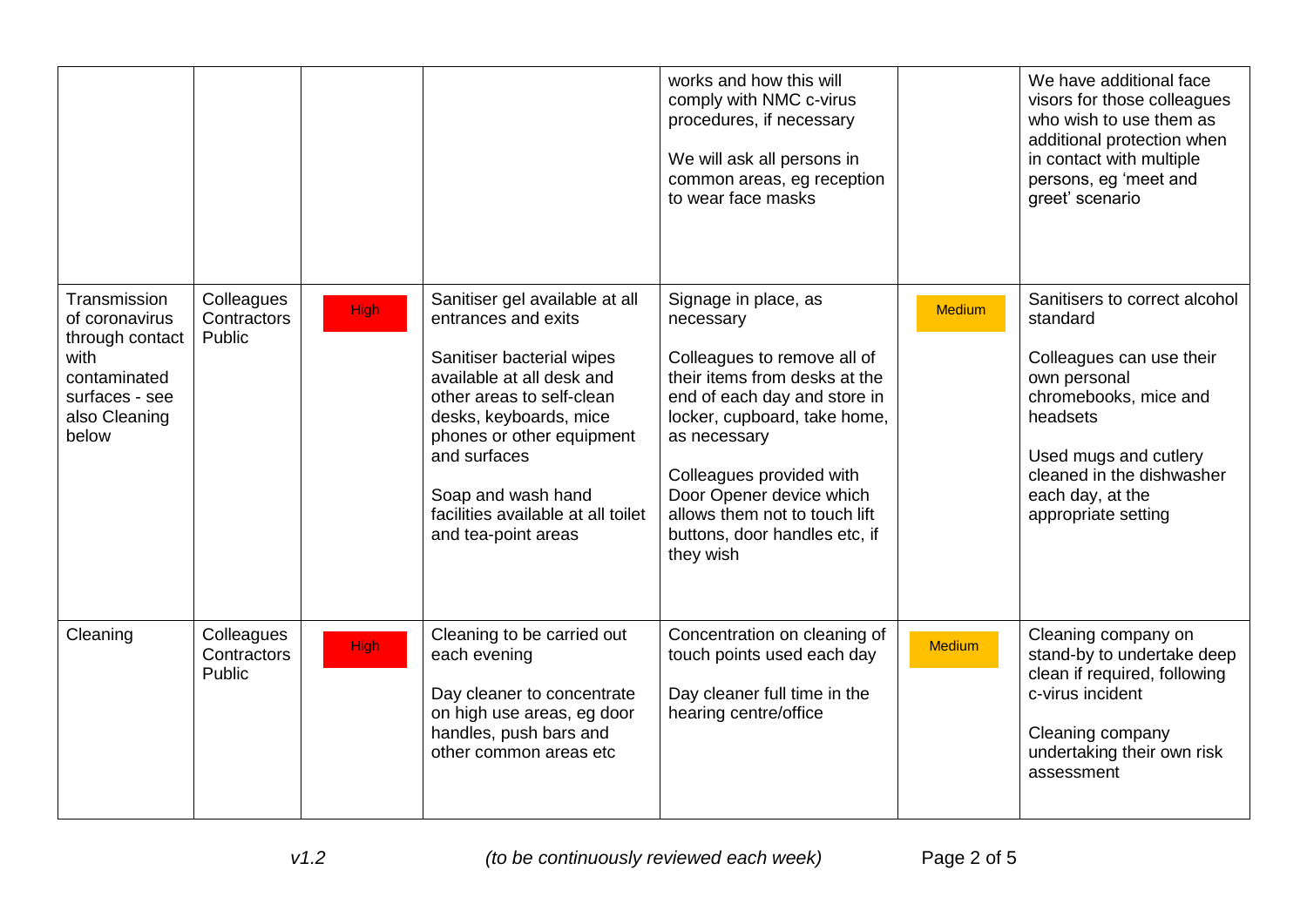|                                                                                                                       |                                     |             |                                                                                                                                                                                                                                                                                                        | works and how this will<br>comply with NMC c-virus<br>procedures, if necessary<br>We will ask all persons in<br>common areas, eg reception<br>to wear face masks                                                                                                                                                         |               | We have additional face<br>visors for those colleagues<br>who wish to use them as<br>additional protection when<br>in contact with multiple<br>persons, eg 'meet and<br>greet' scenario                                     |
|-----------------------------------------------------------------------------------------------------------------------|-------------------------------------|-------------|--------------------------------------------------------------------------------------------------------------------------------------------------------------------------------------------------------------------------------------------------------------------------------------------------------|--------------------------------------------------------------------------------------------------------------------------------------------------------------------------------------------------------------------------------------------------------------------------------------------------------------------------|---------------|-----------------------------------------------------------------------------------------------------------------------------------------------------------------------------------------------------------------------------|
| Transmission<br>of coronavirus<br>through contact<br>with<br>contaminated<br>surfaces - see<br>also Cleaning<br>below | Colleagues<br>Contractors<br>Public | <b>High</b> | Sanitiser gel available at all<br>entrances and exits<br>Sanitiser bacterial wipes<br>available at all desk and<br>other areas to self-clean<br>desks, keyboards, mice<br>phones or other equipment<br>and surfaces<br>Soap and wash hand<br>facilities available at all toilet<br>and tea-point areas | Signage in place, as<br>necessary<br>Colleagues to remove all of<br>their items from desks at the<br>end of each day and store in<br>locker, cupboard, take home,<br>as necessary<br>Colleagues provided with<br>Door Opener device which<br>allows them not to touch lift<br>buttons, door handles etc, if<br>they wish | <b>Medium</b> | Sanitisers to correct alcohol<br>standard<br>Colleagues can use their<br>own personal<br>chromebooks, mice and<br>headsets<br>Used mugs and cutlery<br>cleaned in the dishwasher<br>each day, at the<br>appropriate setting |
| Cleaning                                                                                                              | Colleagues<br>Contractors<br>Public | <b>High</b> | Cleaning to be carried out<br>each evening<br>Day cleaner to concentrate<br>on high use areas, eg door<br>handles, push bars and<br>other common areas etc                                                                                                                                             | Concentration on cleaning of<br>touch points used each day<br>Day cleaner full time in the<br>hearing centre/office                                                                                                                                                                                                      | <b>Medium</b> | Cleaning company on<br>stand-by to undertake deep<br>clean if required, following<br>c-virus incident<br>Cleaning company<br>undertaking their own risk<br>assessment                                                       |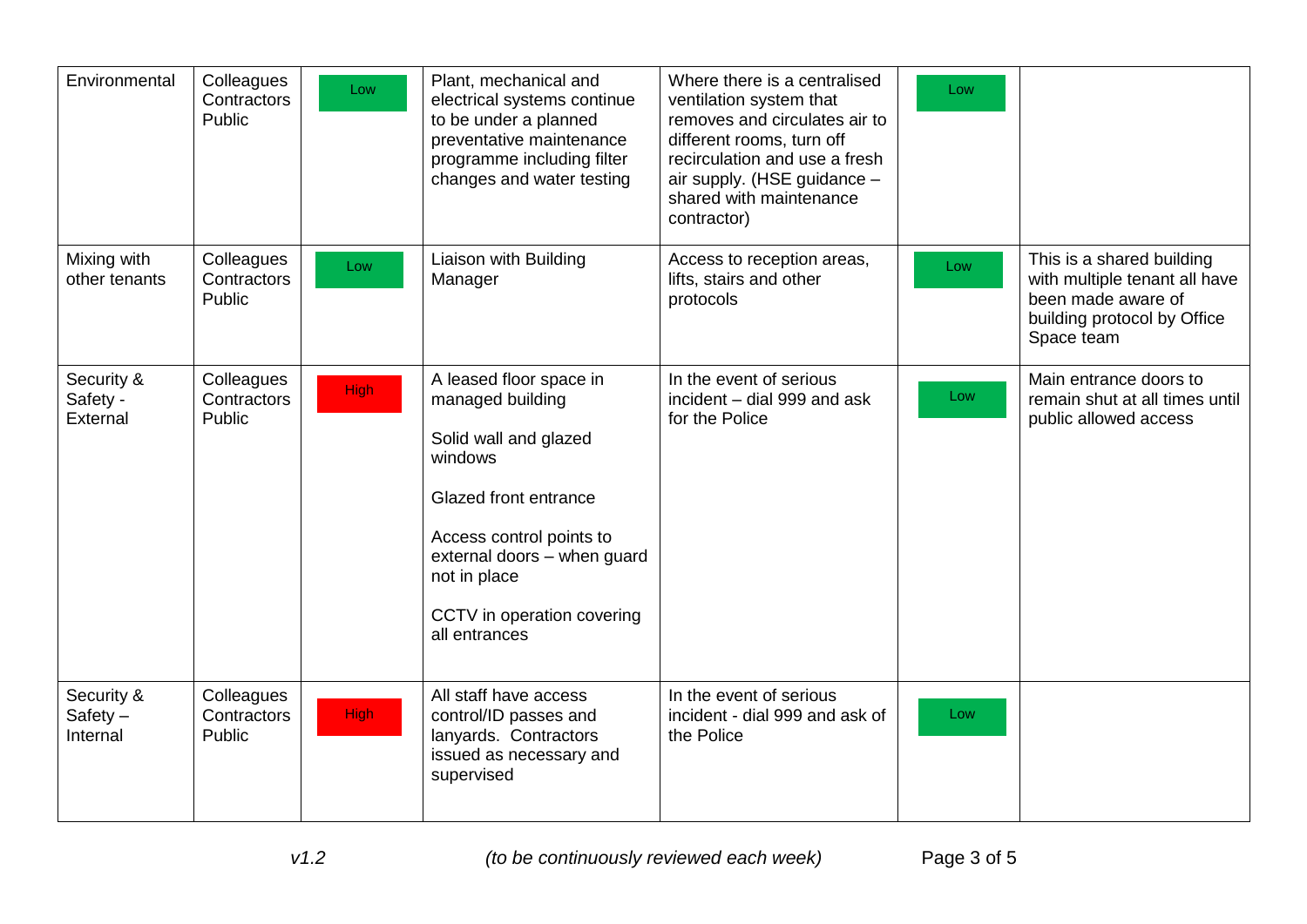| Environmental                        | Colleagues<br>Contractors<br>Public | Low         | Plant, mechanical and<br>electrical systems continue<br>to be under a planned<br>preventative maintenance<br>programme including filter<br>changes and water testing                                                               | Where there is a centralised<br>ventilation system that<br>removes and circulates air to<br>different rooms, turn off<br>recirculation and use a fresh<br>air supply. (HSE guidance -<br>shared with maintenance<br>contractor) | Low |                                                                                                                               |
|--------------------------------------|-------------------------------------|-------------|------------------------------------------------------------------------------------------------------------------------------------------------------------------------------------------------------------------------------------|---------------------------------------------------------------------------------------------------------------------------------------------------------------------------------------------------------------------------------|-----|-------------------------------------------------------------------------------------------------------------------------------|
| Mixing with<br>other tenants         | Colleagues<br>Contractors<br>Public | Low         | Liaison with Building<br>Manager                                                                                                                                                                                                   | Access to reception areas,<br>lifts, stairs and other<br>protocols                                                                                                                                                              | Low | This is a shared building<br>with multiple tenant all have<br>been made aware of<br>building protocol by Office<br>Space team |
| Security &<br>Safety -<br>External   | Colleagues<br>Contractors<br>Public | High        | A leased floor space in<br>managed building<br>Solid wall and glazed<br>windows<br>Glazed front entrance<br>Access control points to<br>external doors - when guard<br>not in place<br>CCTV in operation covering<br>all entrances | In the event of serious<br>incident - dial 999 and ask<br>for the Police                                                                                                                                                        | Low | Main entrance doors to<br>remain shut at all times until<br>public allowed access                                             |
| Security &<br>$Safety -$<br>Internal | Colleagues<br>Contractors<br>Public | <b>High</b> | All staff have access<br>control/ID passes and<br>lanyards. Contractors<br>issued as necessary and<br>supervised                                                                                                                   | In the event of serious<br>incident - dial 999 and ask of<br>the Police                                                                                                                                                         | Low |                                                                                                                               |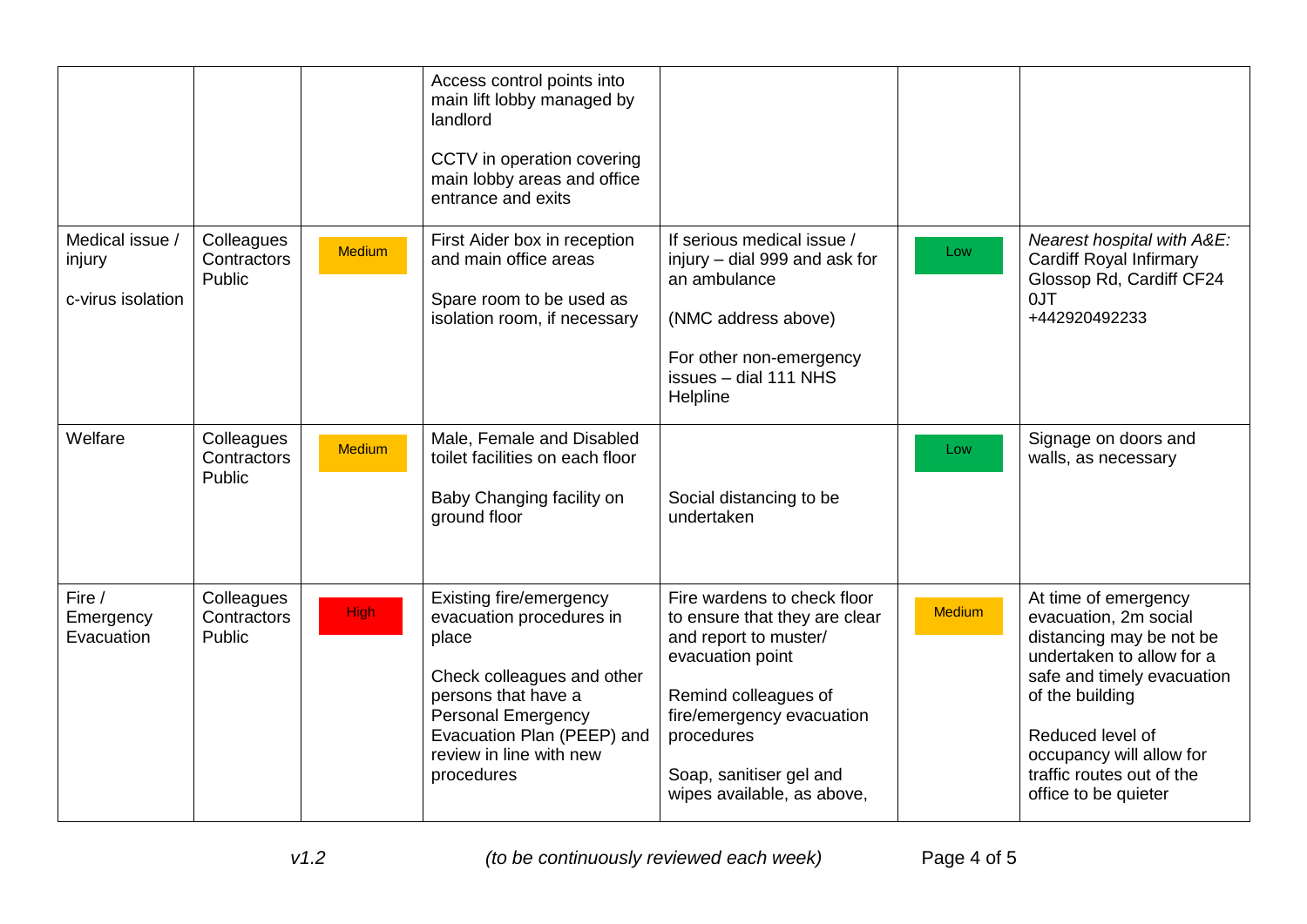|                                                |                                     |               | Access control points into<br>main lift lobby managed by<br>landlord<br>CCTV in operation covering<br>main lobby areas and office<br>entrance and exits                                                               |                                                                                                                                                                                                                                       |               |                                                                                                                                                                                                                                                              |
|------------------------------------------------|-------------------------------------|---------------|-----------------------------------------------------------------------------------------------------------------------------------------------------------------------------------------------------------------------|---------------------------------------------------------------------------------------------------------------------------------------------------------------------------------------------------------------------------------------|---------------|--------------------------------------------------------------------------------------------------------------------------------------------------------------------------------------------------------------------------------------------------------------|
| Medical issue /<br>injury<br>c-virus isolation | Colleagues<br>Contractors<br>Public | <b>Medium</b> | First Aider box in reception<br>and main office areas<br>Spare room to be used as<br>isolation room, if necessary                                                                                                     | If serious medical issue /<br>injury - dial 999 and ask for<br>an ambulance<br>(NMC address above)<br>For other non-emergency<br>issues - dial 111 NHS<br>Helpline                                                                    | Low           | Nearest hospital with A&E:<br><b>Cardiff Royal Infirmary</b><br>Glossop Rd, Cardiff CF24<br>OJT<br>+442920492233                                                                                                                                             |
| Welfare                                        | Colleagues<br>Contractors<br>Public | <b>Medium</b> | Male, Female and Disabled<br>toilet facilities on each floor<br>Baby Changing facility on<br>ground floor                                                                                                             | Social distancing to be<br>undertaken                                                                                                                                                                                                 | Low           | Signage on doors and<br>walls, as necessary                                                                                                                                                                                                                  |
| Fire /<br>Emergency<br>Evacuation              | Colleagues<br>Contractors<br>Public | <b>High</b>   | Existing fire/emergency<br>evacuation procedures in<br>place<br>Check colleagues and other<br>persons that have a<br><b>Personal Emergency</b><br>Evacuation Plan (PEEP) and<br>review in line with new<br>procedures | Fire wardens to check floor<br>to ensure that they are clear<br>and report to muster/<br>evacuation point<br>Remind colleagues of<br>fire/emergency evacuation<br>procedures<br>Soap, sanitiser gel and<br>wipes available, as above, | <b>Medium</b> | At time of emergency<br>evacuation, 2m social<br>distancing may be not be<br>undertaken to allow for a<br>safe and timely evacuation<br>of the building<br>Reduced level of<br>occupancy will allow for<br>traffic routes out of the<br>office to be quieter |